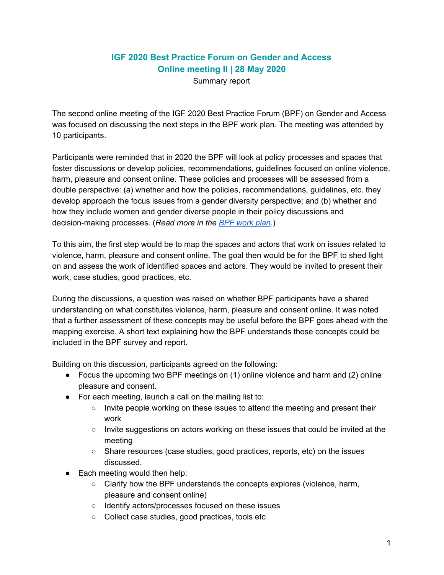## **IGF 2020 Best Practice Forum on Gender and Access Online meeting II | 28 May 2020**

Summary report

The second online meeting of the IGF 2020 Best Practice Forum (BPF) on Gender and Access was focused on discussing the next steps in the BPF work plan. The meeting was attended by 10 participants.

Participants were reminded that in 2020 the BPF will look at policy processes and spaces that foster discussions or develop policies, recommendations, guidelines focused on online violence, harm, pleasure and consent online. These policies and processes will be assessed from a double perspective: (a) whether and how the policies, recommendations, guidelines, etc. they develop approach the focus issues from a gender diversity perspective; and (b) whether and how they include women and gender diverse people in their policy discussions and decision-making processes. (*Read more in the BPF [work](https://www.intgovforum.org/multilingual/filedepot_download/5004/2070) plan*.)

To this aim, the first step would be to map the spaces and actors that work on issues related to violence, harm, pleasure and consent online. The goal then would be for the BPF to shed light on and assess the work of identified spaces and actors. They would be invited to present their work, case studies, good practices, etc.

During the discussions, a question was raised on whether BPF participants have a shared understanding on what constitutes violence, harm, pleasure and consent online. It was noted that a further assessment of these concepts may be useful before the BPF goes ahead with the mapping exercise. A short text explaining how the BPF understands these concepts could be included in the BPF survey and report.

Building on this discussion, participants agreed on the following:

- Focus the upcoming two BPF meetings on (1) online violence and harm and (2) online pleasure and consent.
- For each meeting, launch a call on the mailing list to:
	- $\circ$  Invite people working on these issues to attend the meeting and present their work
	- Invite suggestions on actors working on these issues that could be invited at the meeting
	- Share resources (case studies, good practices, reports, etc) on the issues discussed.
- Each meeting would then help:
	- Clarify how the BPF understands the concepts explores (violence, harm, pleasure and consent online)
	- Identify actors/processes focused on these issues
	- Collect case studies, good practices, tools etc